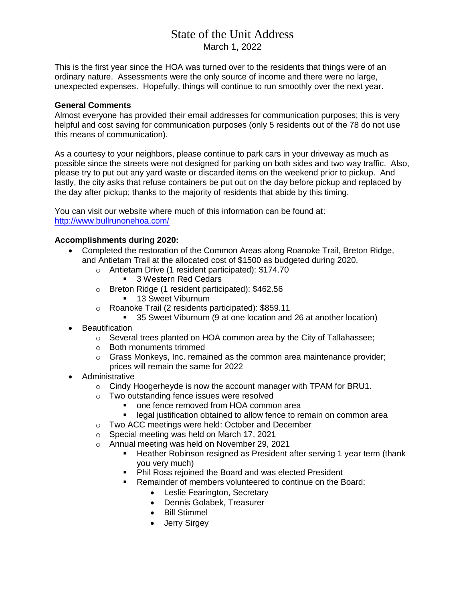# State of the Unit Address March 1, 2022

This is the first year since the HOA was turned over to the residents that things were of an ordinary nature. Assessments were the only source of income and there were no large, unexpected expenses. Hopefully, things will continue to run smoothly over the next year.

#### **General Comments**

Almost everyone has provided their email addresses for communication purposes; this is very helpful and cost saving for communication purposes (only 5 residents out of the 78 do not use this means of communication).

As a courtesy to your neighbors, please continue to park cars in your driveway as much as possible since the streets were not designed for parking on both sides and two way traffic. Also, please try to put out any yard waste or discarded items on the weekend prior to pickup. And lastly, the city asks that refuse containers be put out on the day before pickup and replaced by the day after pickup; thanks to the majority of residents that abide by this timing.

You can visit our website where much of this information can be found at: <http://www.bullrunonehoa.com/>

### **Accomplishments during 2020:**

- Completed the restoration of the Common Areas along Roanoke Trail, Breton Ridge, and Antietam Trail at the allocated cost of \$1500 as budgeted during 2020.
	- o Antietam Drive (1 resident participated): \$174.70
		- 3 Western Red Cedars
	- o Breton Ridge (1 resident participated): \$462.56
		- **13 Sweet Viburnum**
	- o Roanoke Trail (2 residents participated): \$859.11
		- <sup>35</sup> Sweet Viburnum (9 at one location and 26 at another location)
- **•** Beautification
	- o Several trees planted on HOA common area by the City of Tallahassee;
	- o Both monuments trimmed
	- $\circ$  Grass Monkeys, Inc. remained as the common area maintenance provider; prices will remain the same for 2022
- Administrative
	- o Cindy Hoogerheyde is now the account manager with TPAM for BRU1.
	- o Two outstanding fence issues were resolved
		- one fence removed from HOA common area
		- **EXECTE IDED IN A legal justification obtained to allow fence to remain on common area**
	- o Two ACC meetings were held: October and December
	- o Special meeting was held on March 17, 2021
	- o Annual meeting was held on November 29, 2021
		- **Heather Robinson resigned as President after serving 1 year term (thank** you very much)
		- Phil Ross rejoined the Board and was elected President
		- Remainder of members volunteered to continue on the Board:
			- Leslie Fearington, Secretary
			- Dennis Golabek, Treasurer
			- Bill Stimmel
			- Jerry Sirgey